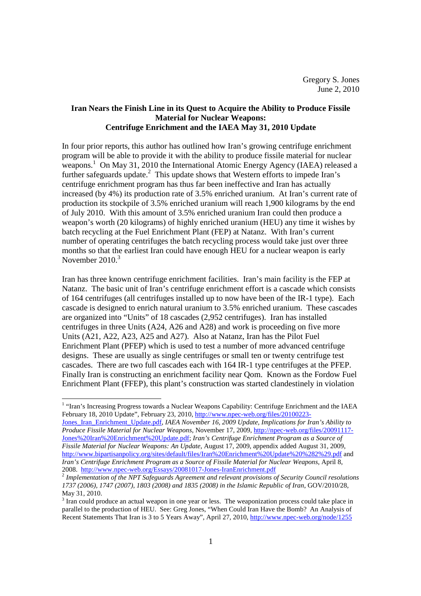# **Iran Nears the Finish Line in its Quest to Acquire the Ability to Produce Fissile Material for Nuclear Weapons: Centrifuge Enrichment and the IAEA May 31, 2010 Update**

In four prior reports, this author has outlined how Iran's growing centrifuge enrichment program will be able to provide it with the ability to produce fissile material for nuclear weapons.<sup>1</sup> On May 31, 2010 the International Atomic Energy Agency (IAEA) released a further safeguards update.<sup>2</sup> This update shows that Western efforts to impede Iran's centrifuge enrichment program has thus far been ineffective and Iran has actually increased (by 4%) its production rate of 3.5% enriched uranium. At Iran's current rate of production its stockpile of 3.5% enriched uranium will reach 1,900 kilograms by the end of July 2010. With this amount of 3.5% enriched uranium Iran could then produce a weapon's worth (20 kilograms) of highly enriched uranium (HEU) any time it wishes by batch recycling at the Fuel Enrichment Plant (FEP) at Natanz. With Iran's current number of operating centrifuges the batch recycling process would take just over three months so that the earliest Iran could have enough HEU for a nuclear weapon is early November  $2010<sup>3</sup>$ 

Iran has three known centrifuge enrichment facilities. Iran's main facility is the FEP at Natanz. The basic unit of Iran's centrifuge enrichment effort is a cascade which consists of 164 centrifuges (all centrifuges installed up to now have been of the IR-1 type). Each cascade is designed to enrich natural uranium to 3.5% enriched uranium. These cascades are organized into "Units" of 18 cascades (2,952 centrifuges). Iran has installed centrifuges in three Units (A24, A26 and A28) and work is proceeding on five more Units (A21, A22, A23, A25 and A27). Also at Natanz, Iran has the Pilot Fuel Enrichment Plant (PFEP) which is used to test a number of more advanced centrifuge designs. These are usually as single centrifuges or small ten or twenty centrifuge test cascades. There are two full cascades each with 164 IR-1 type centrifuges at the PFEP. Finally Iran is constructing an enrichment facility near Qom. Known as the Fordow Fuel Enrichment Plant (FFEP), this plant's construction was started clandestinely in violation

 1 "Iran's Increasing Progress towards a Nuclear Weapons Capability: Centrifuge Enrichment and the IAEA February 18, 2010 Update", February 23, 2010, http://www.npec-web.org/files/20100223-

Jones\_Iran\_Enrichment\_Update.pdf, *IAEA November 16, 2009 Update, Implications for Iran's Ability to Produce Fissile Material for Nuclear Weapons*, November 17, 2009, http://npec-web.org/files/20091117- Jones%20Iran%20Enrichment%20Update.pdf; *Iran's Centrifuge Enrichment Program as a Source of Fissile Material for Nuclear Weapons: An Update*, August 17, 2009, appendix added August 31, 2009, http://www.bipartisanpolicy.org/sites/default/files/Iran%20Enrichment%20Update%20%282%29.pdf and *Iran's Centrifuge Enrichment Program as a Source of Fissile Material for Nuclear Weapons*, April 8, 2008. http://www.npec-web.org/Essays/20081017-Jones-IranEnrichment.pdf

<sup>2</sup> *Implementation of the NPT Safeguards Agreement and relevant provisions of Security Council resolutions 1737 (2006), 1747 (2007), 1803 (2008) and 1835 (2008) in the Islamic Republic of Iran*, GOV/2010/28, May 31, 2010.

 $3$  Iran could produce an actual weapon in one year or less. The weaponization process could take place in parallel to the production of HEU. See: Greg Jones, "When Could Iran Have the Bomb? An Analysis of Recent Statements That Iran is 3 to 5 Years Away", April 27, 2010, http://www.npec-web.org/node/1255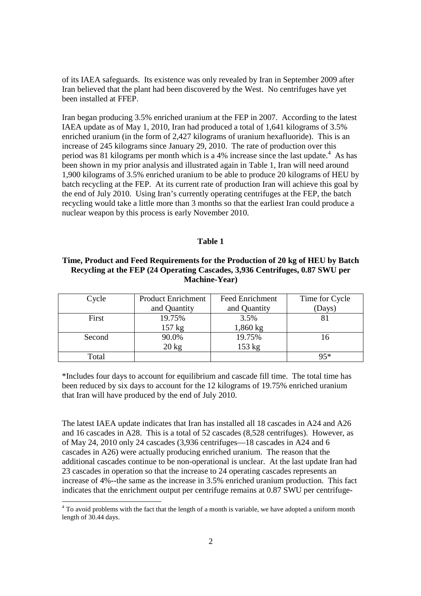of its IAEA safeguards. Its existence was only revealed by Iran in September 2009 after Iran believed that the plant had been discovered by the West. No centrifuges have yet been installed at FFEP.

Iran began producing 3.5% enriched uranium at the FEP in 2007. According to the latest IAEA update as of May 1, 2010, Iran had produced a total of 1,641 kilograms of 3.5% enriched uranium (in the form of 2,427 kilograms of uranium hexafluoride). This is an increase of 245 kilograms since January 29, 2010. The rate of production over this period was 81 kilograms per month which is a 4% increase since the last update. $4$  As has been shown in my prior analysis and illustrated again in Table 1, Iran will need around 1,900 kilograms of 3.5% enriched uranium to be able to produce 20 kilograms of HEU by batch recycling at the FEP. At its current rate of production Iran will achieve this goal by the end of July 2010. Using Iran's currently operating centrifuges at the FEP, the batch recycling would take a little more than 3 months so that the earliest Iran could produce a nuclear weapon by this process is early November 2010.

### **Table 1**

## **Time, Product and Feed Requirements for the Production of 20 kg of HEU by Batch Recycling at the FEP (24 Operating Cascades, 3,936 Centrifuges, 0.87 SWU per Machine-Year)**

| Cycle  | <b>Product Enrichment</b> | <b>Feed Enrichment</b> | Time for Cycle |
|--------|---------------------------|------------------------|----------------|
|        | and Quantity              | and Quantity           | (Days)         |
| First  | 19.75%                    | 3.5%                   |                |
|        | $157 \text{ kg}$          | 1,860 kg               |                |
| Second | 90.0%                     | 19.75%                 | 16             |
|        | $20 \text{ kg}$           | 153 kg                 |                |
| Total  |                           |                        | $95*$          |

\*Includes four days to account for equilibrium and cascade fill time. The total time has been reduced by six days to account for the 12 kilograms of 19.75% enriched uranium that Iran will have produced by the end of July 2010.

The latest IAEA update indicates that Iran has installed all 18 cascades in A24 and A26 and 16 cascades in A28. This is a total of 52 cascades (8,528 centrifuges). However, as of May 24, 2010 only 24 cascades (3,936 centrifuges—18 cascades in A24 and 6 cascades in A26) were actually producing enriched uranium. The reason that the additional cascades continue to be non-operational is unclear. At the last update Iran had 23 cascades in operation so that the increase to 24 operating cascades represents an increase of 4%--the same as the increase in 3.5% enriched uranium production. This fact indicates that the enrichment output per centrifuge remains at 0.87 SWU per centrifuge-

<u>.</u>

 $4$  To avoid problems with the fact that the length of a month is variable, we have adopted a uniform month length of 30.44 days.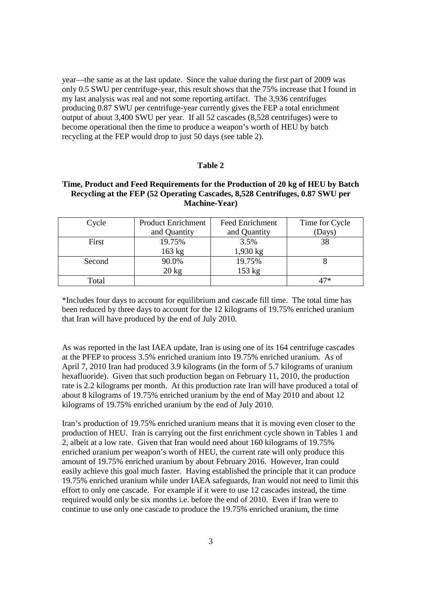year—the same as at the last update. Since the value during the first part of 2009 was only 0.5 SWU per centrifuge-year, this result shows that the 75% increase that I found in my last analysis was real and not some reporting artifact. The 3,936 centrifuges producing 0.87 SWU per centrifuge-year currently gives the FEP a total enrichment output of about 3,400 SWU per year. If all 52 cascades (8,528 centrifuges) were to become operational then the time to produce a weapon's worth of HEU by batch recycling at the FEP would drop to just 50 days (see table 2).

### **Table 2**

### **Time, Product and Feed Requirements for the Production of 20 kg of HEU by Batch Recycling at the FEP (52 Operating Cascades, 8,528 Centrifuges, 0.87 SWU per Machine-Year)**

| Cycle  | <b>Product Enrichment</b> | <b>Feed Enrichment</b> | Time for Cycle |
|--------|---------------------------|------------------------|----------------|
|        | and Quantity              | and Quantity           | (Days)         |
| First  | 19.75%                    | 3.5%                   | 38             |
|        | 163 kg                    | $1,930 \text{ kg}$     |                |
| Second | 90.0%                     | 19.75%                 |                |
|        | $20 \text{ kg}$           | 153 kg                 |                |
| Total  |                           |                        | 47*            |

\*Includes four days to account for equilibrium and cascade fill time. The total time has been reduced by three days to account for the 12 kilograms of 19.75% enriched uranium that Iran will have produced by the end of July 2010.

As was reported in the last IAEA update, Iran is using one of its 164 centrifuge cascades at the PFEP to process 3.5% enriched uranium into 19.75% enriched uranium. As of April 7, 2010 Iran had produced 3.9 kilograms (in the form of 5.7 kilograms of uranium hexafluoride). Given that such production began on February 11, 2010, the production rate is 2.2 kilograms per month. At this production rate Iran will have produced a total of about 8 kilograms of 19.75% enriched uranium by the end of May 2010 and about 12 kilograms of 19.75% enriched uranium by the end of July 2010.

Iran's production of 19.75% enriched uranium means that it is moving even closer to the production of HEU. Iran is carrying out the first enrichment cycle shown in Tables 1 and 2, albeit at a low rate. Given that Iran would need about 160 kilograms of 19.75% enriched uranium per weapon's worth of HEU, the current rate will only produce this amount of 19.75% enriched uranium by about February 2016. However, Iran could easily achieve this goal much faster. Having established the principle that it can produce 19.75% enriched uranium while under IAEA safeguards, Iran would not need to limit this effort to only one cascade. For example if it were to use 12 cascades instead, the time required would only be six months i.e. before the end of 2010. Even if Iran were to continue to use only one cascade to produce the 19.75% enriched uranium, the time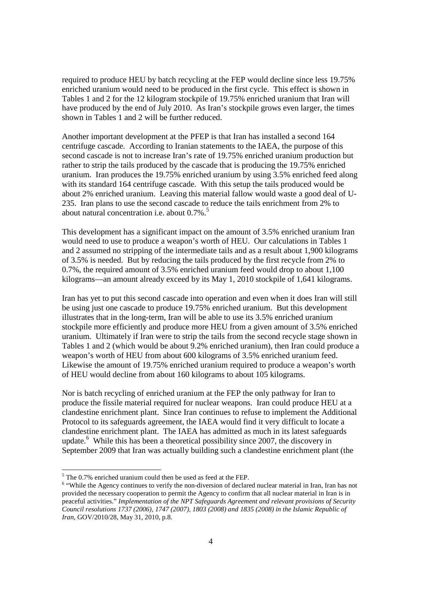required to produce HEU by batch recycling at the FEP would decline since less 19.75% enriched uranium would need to be produced in the first cycle. This effect is shown in Tables 1 and 2 for the 12 kilogram stockpile of 19.75% enriched uranium that Iran will have produced by the end of July 2010. As Iran's stockpile grows even larger, the times shown in Tables 1 and 2 will be further reduced.

Another important development at the PFEP is that Iran has installed a second 164 centrifuge cascade. According to Iranian statements to the IAEA, the purpose of this second cascade is not to increase Iran's rate of 19.75% enriched uranium production but rather to strip the tails produced by the cascade that is producing the 19.75% enriched uranium. Iran produces the 19.75% enriched uranium by using 3.5% enriched feed along with its standard 164 centrifuge cascade. With this setup the tails produced would be about 2% enriched uranium. Leaving this material fallow would waste a good deal of U-235. Iran plans to use the second cascade to reduce the tails enrichment from 2% to about natural concentration i.e. about  $0.7\%$ .<sup>5</sup>

This development has a significant impact on the amount of 3.5% enriched uranium Iran would need to use to produce a weapon's worth of HEU. Our calculations in Tables 1 and 2 assumed no stripping of the intermediate tails and as a result about 1,900 kilograms of 3.5% is needed. But by reducing the tails produced by the first recycle from 2% to 0.7%, the required amount of 3.5% enriched uranium feed would drop to about 1,100 kilograms—an amount already exceed by its May 1, 2010 stockpile of 1,641 kilograms.

Iran has yet to put this second cascade into operation and even when it does Iran will still be using just one cascade to produce 19.75% enriched uranium. But this development illustrates that in the long-term, Iran will be able to use its 3.5% enriched uranium stockpile more efficiently and produce more HEU from a given amount of 3.5% enriched uranium. Ultimately if Iran were to strip the tails from the second recycle stage shown in Tables 1 and 2 (which would be about 9.2% enriched uranium), then Iran could produce a weapon's worth of HEU from about 600 kilograms of 3.5% enriched uranium feed. Likewise the amount of 19.75% enriched uranium required to produce a weapon's worth of HEU would decline from about 160 kilograms to about 105 kilograms.

Nor is batch recycling of enriched uranium at the FEP the only pathway for Iran to produce the fissile material required for nuclear weapons. Iran could produce HEU at a clandestine enrichment plant. Since Iran continues to refuse to implement the Additional Protocol to its safeguards agreement, the IAEA would find it very difficult to locate a clandestine enrichment plant. The IAEA has admitted as much in its latest safeguards update.<sup>6</sup> While this has been a theoretical possibility since 2007, the discovery in September 2009 that Iran was actually building such a clandestine enrichment plant (the

<sup>&</sup>lt;sup>5</sup> The 0.7% enriched uranium could then be used as feed at the FEP.

<sup>&</sup>lt;sup>6</sup> "While the Agency continues to verify the non-diversion of declared nuclear material in Iran, Iran has not provided the necessary cooperation to permit the Agency to confirm that all nuclear material in Iran is in peaceful activities." *Implementation of the NPT Safeguards Agreement and relevant provisions of Security Council resolutions 1737 (2006), 1747 (2007), 1803 (2008) and 1835 (2008) in the Islamic Republic of Iran*, GOV/2010/28, May 31, 2010, p.8.